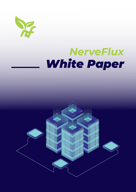

#### *White Paper NerveFlux*

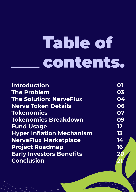# **Table of** contents.

| <b>Introduction</b><br><b>The Problem</b><br><b>The Solution: NerveFlux</b><br><b>Nerve Token Details</b><br><b>Tokenomics</b><br><b>Tokenomics Breakdown</b><br><b>Fund Usage</b><br><b>Hyper Inflation Mechanism</b><br><b>NerveFlux Marketplace</b> |                                                           |                                 |    |
|--------------------------------------------------------------------------------------------------------------------------------------------------------------------------------------------------------------------------------------------------------|-----------------------------------------------------------|---------------------------------|----|
|                                                                                                                                                                                                                                                        | 03<br>04<br>06<br>07<br>09<br>12 <sub>2</sub><br>13<br>14 |                                 |    |
|                                                                                                                                                                                                                                                        |                                                           | <b>Project Roadmap</b>          | 16 |
|                                                                                                                                                                                                                                                        |                                                           | <b>Early Investors Benefits</b> | 20 |
|                                                                                                                                                                                                                                                        |                                                           | <b>Conclusion</b>               |    |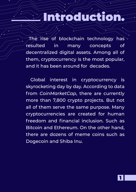#### troductio

The rise of blockchain technology has resulted in many concepts of decentralized digital assets. Among all of them, cryptocurrency is the most popular, and it has been around for decades.

 Global interest in cryptocurrency is skyrocketing day by day. According to data from *CoinMarketCap*, there are currently more than 7,800 crypto projects. But not all of them serve the same purpose. Many cryptocurrencies are created for human freedom and financial inclusion. Such as Bitcoin and Ethereum. On the other hand, there are dozens of meme coins such as Dogecoin and Shiba Inu.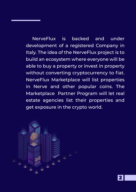NerveFlux is backed and under development of a registered Company in Italy. The idea of the NerveFlux project is to build an ecosystem where everyone will be able to buy a property or invest in property without converting cryptocurrency to fiat. NerveFlux Marketplace will list properties in Nerve and other popular coins. The Marketplace Partner Program will let real estate agencies list their properties and get exposure in the crypto world.

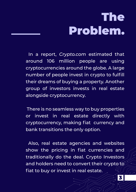### The Problem.

 In a report, *Crypto.com* estimated that around 106 million people are using cryptocurrencies around the globe. A large number of people invest in crypto to fulfill their dreams of buying a property. Another group of investors invests in real estate alongside cryptocurrency.

 There is no seamless way to buy properties or invest in real estate directly with cryptocurrency, making fiat currency and bank transitions the only option.

 Also, real estate agencies and websites show the pricing in fiat currencies and traditionally do the deal. Crypto Investors and holders need to convert their crypto to fiat to buy or invest in real estate.

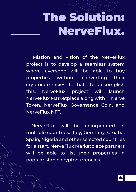# The Solution: NerveFlux.

 Mission and vision of the NerveFlux project is to develop a seamless system where everyone will be able to buy properties without converting their cryptocurrencies to fiat. To accomplish this, NerveFlux project will launch NerveFlux Marketplace along with Nerve Token, NerveFlux Governance Coin, and NerveFlux NFT.

 NerveFlux will be incorporated in multiple countries: Italy, Germany, Croatia, Spain, Nigeria and other selected countries for a start. NerveFlux Marketplace partners will be able to list their properties in popular stable cryptocurrencies.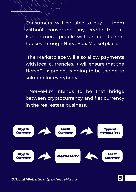Consumers will be able to buy them without converting any crypto to fiat. Furthermore, people will be able to rent houses through NerveFlux Marketplace.

 The Marketplace will also allow payments with local currencies. It will ensure that the NerveFlux project is going to be the go-to solution for everybody.

 NerveFlux intends to be that bridge between cryptocurrency and fiat currency in the real estate business.

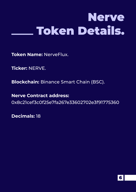## Nerve Token Details.

**Token Name:** NerveFlux.

**Ticker:** NERVE.

**Blockchain:** Binance Smart Chain (BSC).

**Nerve Contract address:** 0x8c21cef3c0f25e7fa267e33602702e3f91775360

**Decimals:** 18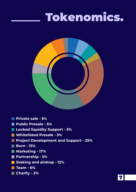#### Tokenomics.



- **Private sale 5%**
- **Public Presale 5%**
- **Locked liquidity Support 5%**
- **Whitelisted Presale 3%**
- **Project Development and Support 25%**
- **Burn 15%**
- **Marketing 17%**
- **Partnership 5%**
- **F** Staking and airdrop 12%
- **Team 6%**
- **Charity 2%**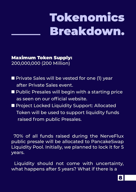# Tokenomics Breakdown.

Maximum Token Supply: 200,000,000 (200 Million)

- **Private Sales will be vested for one (1) year** after Private Sales event.
- **Public Presales will begin with a starting price** as seen on our official website.
- **Project Locked Liquidity Support: Allocated**  Token will be used to support liquidity funds raised from public Presales.

 70% of all funds raised during the NerveFlux public presale will be allocated to PancakeSwap Liquidity Pool. Initially, we planned to lock it for 5 years.

Liquidity should not come with uncertainty, what happens after 5 years? What if there is a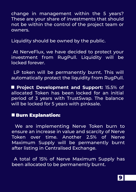change in management within the 5 years? These are your share of investments that should not be within the control of the project team or owners.

Liquidity should be owned by the public.

At NerveFlux, we have decided to protect your investment from RugPull. Liquidity will be locked forever.

 LP token will be permanently burnt. This will automatically protect the liquidity from RugPull.

 **Project Development and Support:** 15.5% of allocated Token has been locked for an initial period of 3 years with TrustSwap. The balance will be locked for 5 years with pinksale.

#### **Burn Explanation:**

We are implementing Nerve Token burn to ensure an increase in value and scarcity of Nerve Token over time. Another 2.5% of Nerve Maximum Supply will be permanently burnt after listing in Centralised Exchange.

 A total of 15% of Nerve Maximum Supply has been allocated to be permanently burnt.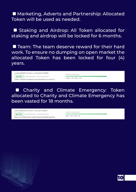■ Marketing, Adverts and Partnership: Allocated Token will be used as needed.

■ Staking and Airdrop: All Token allocated for staking and airdrop will be locked for 6 months.

**Team: The team deserve reward for their hard** work. To ensure no dumping on open market the allocated Token has been locked for four (4) years.

Locked NERVEELUX Tokens- 12,000,000,00 NERVE **A LOCKED** Locked 09/29/2021 · Unlocks 09/29/2025 Owner: 0x9c65515035B84FE342D04063f5B0A1eccbdA5c22

**LINE OPE POUNTROWN** 

 $14590 - 12H - 23M - 579$ 

 Charity and Climate Emergency: Token allocated to Charity and Climate Emergency has been vasted for 18 months.

Locked NERVEFLUX Tokens- 1,000,000.00 NERVE LOCKED Locked 09/30/2021 - Uniocks 03/30/2023

Owner: 0x3174f90Fc5871c280FD72a4149Cb4383c6c0DC32

**UNLOCK COUNTDOWN** 

 $5450 - 23H - 48M - 3S$ 

10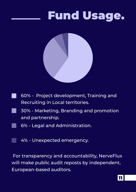#### Fund Usage.



- 60% Project development, Training and Recruiting in Local territories.
- 30% Marketing, Branding and promotion and partnership.
	- 6% Legal and Administration.
	- 4% Unexpected emergency.

 For transparency and accountability, NerveFlux will make public audit reposts by independent, European-based auditors.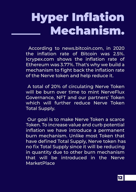### Hyper Inflation Mechanism.

 According to news.bitcoin.com, in 2020 the inflation rate of Bitcoin was 2.5%. Icrypex.com shows the inflation rate of Ethereum was 3.77%. That's why we build a mechanism to fight back the inflation rate of the Nerve token and help reduce it.

 A total of 20% of circulating Nerve Token will be burn over time to mint NerveFlux Governance, NFT and our partners' Token which will further reduce Nerve Token Total Supply.

 Our goal is to make Nerve Token a scarce Token. To increase value and curb potential inflation we have introduce a permanent burn mechanism. Unlike most Token that have defined Total Supply, Nerve token has no fix Total Supply since it will be reducing in quantity due to other burn mechanism that will be introduced in the Nerve **MarketPlace**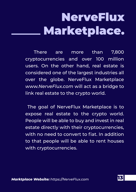# NerveFlux Marketplace.

There are more than 7,800 cryptocurrencies and over 100 million users. On the other hand, real estate is considered one of the largest industries all over the globe. NerveFlux Marketplace *www.NerveFlux.com* will act as a bridge to link real estate to the crypto world.

 The goal of NerveFlux Marketplace is to expose real estate to the crypto world. People will be able to buy and invest in real estate directly with their cryptocurrencies, with no need to convert to fiat. In addition to that people will be able to rent houses with cryptocurrencies.

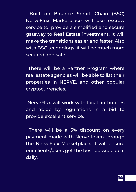Built on Binance Smart Chain (BSC) NerveFlux Marketplace will use escrow service to provide a simplified and secure gateway to Real Estate investment. It will make the transitions easier and faster. Also with BSC technology, it will be much more secured and safe.

 There will be a Partner Program where real estate agencies will be able to list their properties in NERVE, and other popular cryptocurrencies.

 NerveFlux will work with local authorities and abide by regulations in a bid to provide excellent service.

 There will be a 5% discount on every payment made with Nerve token through the NerveFlux Marketplace. It will ensure our clients/users get the best possible deal daily.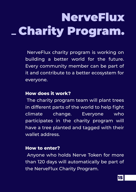# **NerveFlux** Charity Program.

 NerveFlux charity program is working on building a better world for the future. Every community member can be part of it and contribute to a better ecosystem for everyone.

#### **How does it work?**

 The charity program team will plant trees in different parts of the world to help fight climate change. Everyone who participates in the charity program will have a tree planted and tagged with their wallet address.

#### **How to enter?**

 Anyone who holds Nerve Token for more than 120 days will automatically be part of the NerveFlux Charity Program.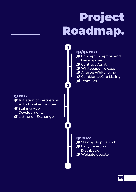# Project Roadmap.

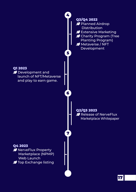

17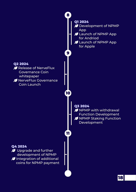

18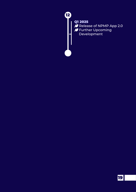

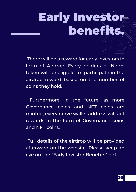# Early Investor benefits.

 There will be a reward for early investors in form of Airdrop. Every holders of Nerve token will be eligible to participate in the airdrop reward based on the number of coins they hold.

 Furthermore, in the future, as more Governance coins and NFT coins are minted, every nerve wallet address will get rewards in the form of Governance coins and NFT coins.

 Full details of the airdrop will be provided afterward on the website. Please keep an eye on the "Early Investor Benefits" pdf.